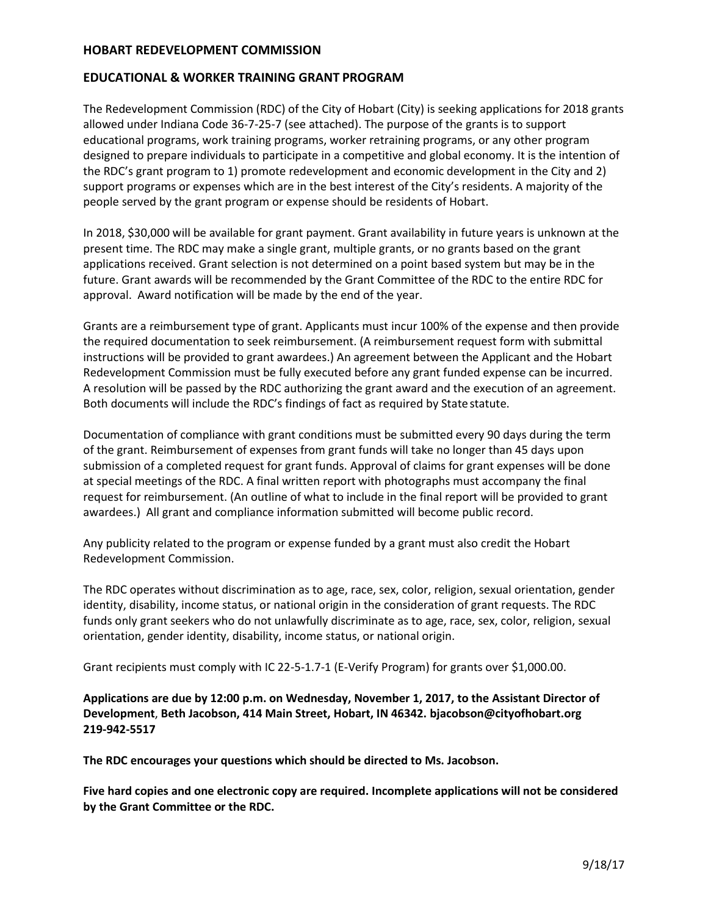#### **HOBART REDEVELOPMENT COMMISSION**

#### **EDUCATIONAL & WORKER TRAINING GRANT PROGRAM**

The Redevelopment Commission (RDC) of the City of Hobart (City) is seeking applications for 2018 grants allowed under Indiana Code 36-7-25-7 (see attached). The purpose of the grants is to support educational programs, work training programs, worker retraining programs, or any other program designed to prepare individuals to participate in a competitive and global economy. It is the intention of the RDC's grant program to 1) promote redevelopment and economic development in the City and 2) support programs or expenses which are in the best interest of the City's residents. A majority of the people served by the grant program or expense should be residents of Hobart.

In 2018, \$30,000 will be available for grant payment. Grant availability in future years is unknown at the present time. The RDC may make a single grant, multiple grants, or no grants based on the grant applications received. Grant selection is not determined on a point based system but may be in the future. Grant awards will be recommended by the Grant Committee of the RDC to the entire RDC for approval. Award notification will be made by the end of the year.

Grants are a reimbursement type of grant. Applicants must incur 100% of the expense and then provide the required documentation to seek reimbursement. (A reimbursement request form with submittal instructions will be provided to grant awardees.) An agreement between the Applicant and the Hobart Redevelopment Commission must be fully executed before any grant funded expense can be incurred. A resolution will be passed by the RDC authorizing the grant award and the execution of an agreement. Both documents will include the RDC's findings of fact as required by Statestatute.

Documentation of compliance with grant conditions must be submitted every 90 days during the term of the grant. Reimbursement of expenses from grant funds will take no longer than 45 days upon submission of a completed request for grant funds. Approval of claims for grant expenses will be done at special meetings of the RDC. A final written report with photographs must accompany the final request for reimbursement. (An outline of what to include in the final report will be provided to grant awardees.) All grant and compliance information submitted will become public record.

Any publicity related to the program or expense funded by a grant must also credit the Hobart Redevelopment Commission.

The RDC operates without discrimination as to age, race, sex, color, religion, sexual orientation, gender identity, disability, income status, or national origin in the consideration of grant requests. The RDC funds only grant seekers who do not unlawfully discriminate as to age, race, sex, color, religion, sexual orientation, gender identity, disability, income status, or national origin.

Grant recipients must comply with IC 22-5-1.7-1 (E-Verify Program) for grants over \$1,000.00.

**Applications are due by 12:00 p.m. on Wednesday, November 1, 2017, to the Assistant Director of Development**, **Beth Jacobson, 414 Main Street, Hobart, IN 46342. [bjacobson@cityofhobart.org](mailto:bjacobson@cityofhobart.org) 219-942-5517**

**The RDC encourages your questions which should be directed to Ms. Jacobson.**

**Five hard copies and one electronic copy are required. Incomplete applications will not be considered by the Grant Committee or the RDC.**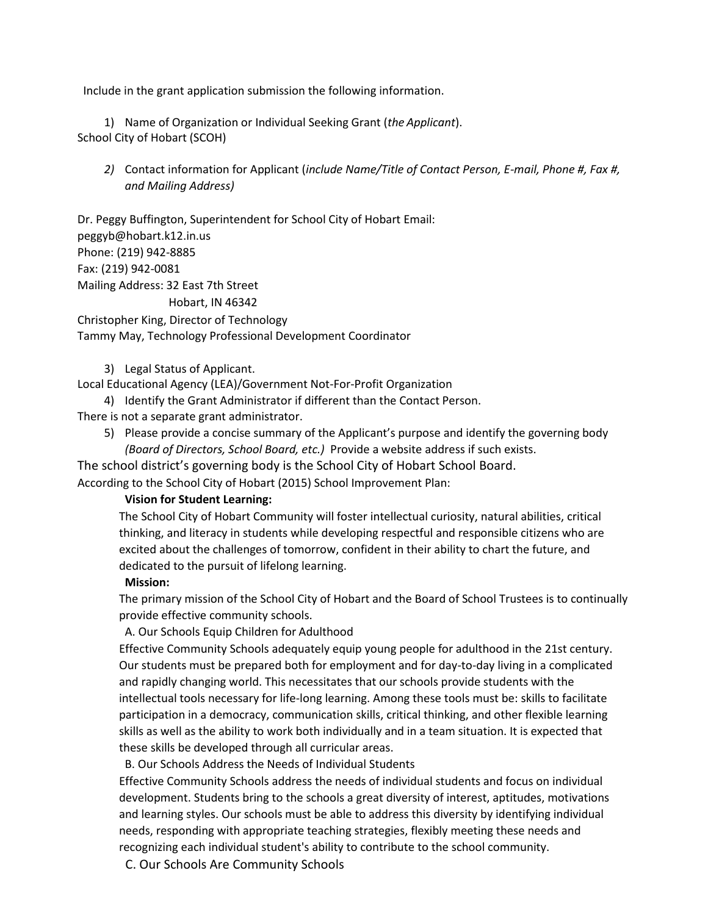Include in the grant application submission the following information.

1) Name of Organization or Individual Seeking Grant (*the Applicant*). School City of Hobart (SCOH)

*2)* Contact information for Applicant (*include Name/Title of Contact Person, E-mail, Phone #, Fax #, and Mailing Address)*

Dr. Peggy Buffington, Superintendent for School City of Hobart Email: [peggyb@hobart.k12.in.us](mailto:peggyb@hobart.k12.in.us) Phone: (219) 942-8885 Fax: (219) 942-0081 Mailing Address: 32 East 7th Street Hobart, IN 46342

Christopher King, Director of Technology Tammy May, Technology Professional Development Coordinator

3) Legal Status of Applicant.

Local Educational Agency (LEA)/Government Not-For-Profit Organization

4) Identify the Grant Administrator if different than the Contact Person.

There is not a separate grant administrator.

5) Please provide a concise summary of the Applicant's purpose and identify the governing body *(Board of Directors, School Board, etc.)* Provide a website address if such exists.

The school district's governing body is the School City of Hobart School Board. According to the School City of Hobart (2015) School Improvement Plan:

## **Vision for Student Learning:**

The School City of Hobart Community will foster intellectual curiosity, natural abilities, critical thinking, and literacy in students while developing respectful and responsible citizens who are excited about the challenges of tomorrow, confident in their ability to chart the future, and dedicated to the pursuit of lifelong learning.

#### **Mission:**

The primary mission of the School City of Hobart and the Board of School Trustees is to continually provide effective community schools.

#### A. Our Schools Equip Children for Adulthood

Effective Community Schools adequately equip young people for adulthood in the 21st century. Our students must be prepared both for employment and for day-to-day living in a complicated and rapidly changing world. This necessitates that our schools provide students with the intellectual tools necessary for life-long learning. Among these tools must be: skills to facilitate participation in a democracy, communication skills, critical thinking, and other flexible learning skills as well as the ability to work both individually and in a team situation. It is expected that these skills be developed through all curricular areas.

B. Our Schools Address the Needs of Individual Students

Effective Community Schools address the needs of individual students and focus on individual development. Students bring to the schools a great diversity of interest, aptitudes, motivations and learning styles. Our schools must be able to address this diversity by identifying individual needs, responding with appropriate teaching strategies, flexibly meeting these needs and recognizing each individual student's ability to contribute to the school community.

C. Our Schools Are Community Schools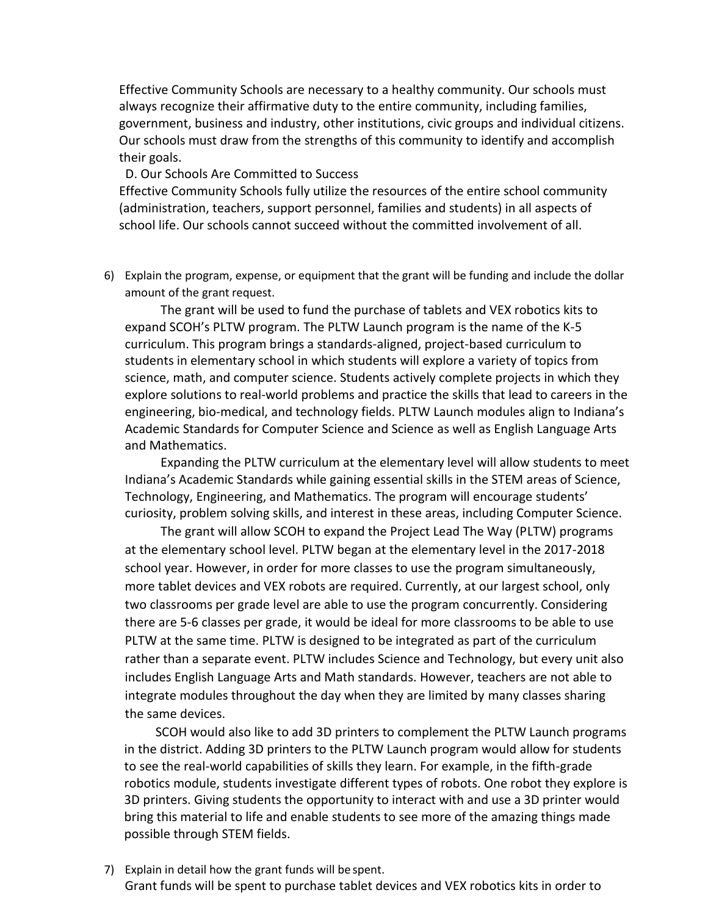Effective Community Schools are necessary to a healthy community. Our schools must always recognize their affirmative duty to the entire community, including families, government, business and industry, other institutions, civic groups and individual citizens. Our schools must draw from the strengths of this community to identify and accomplish their goals.

#### D. Our Schools Are Committed to Success

Effective Community Schools fully utilize the resources of the entire school community (administration, teachers, support personnel, families and students) in all aspects of school life. Our schools cannot succeed without the committed involvement of all.

6) Explain the program, expense, or equipment that the grant will be funding and include the dollar amount of the grant request.

The grant will be used to fund the purchase of tablets and VEX robotics kits to expand SCOH's PLTW program. The PLTW Launch program is the name of the K-5 curriculum. This program brings a standards-aligned, project-based curriculum to students in elementary school in which students will explore a variety of topics from science, math, and computer science. Students actively complete projects in which they explore solutions to real-world problems and practice the skills that lead to careers in the engineering, bio-medical, and technology fields. PLTW Launch modules align to Indiana's Academic Standards for Computer Science and Science as well as English Language Arts and Mathematics.

Expanding the PLTW curriculum at the elementary level will allow students to meet Indiana's Academic Standards while gaining essential skills in the STEM areas of Science, Technology, Engineering, and Mathematics. The program will encourage students' curiosity, problem solving skills, and interest in these areas, including Computer Science.

The grant will allow SCOH to expand the Project Lead The Way (PLTW) programs at the elementary school level. PLTW began at the elementary level in the 2017-2018 school year. However, in order for more classes to use the program simultaneously, more tablet devices and VEX robots are required. Currently, at our largest school, only two classrooms per grade level are able to use the program concurrently. Considering there are 5-6 classes per grade, it would be ideal for more classrooms to be able to use PLTW at the same time. PLTW is designed to be integrated as part of the curriculum rather than a separate event. PLTW includes Science and Technology, but every unit also includes English Language Arts and Math standards. However, teachers are not able to integrate modules throughout the day when they are limited by many classes sharing the same devices.

SCOH would also like to add 3D printers to complement the PLTW Launch programs in the district. Adding 3D printers to the PLTW Launch program would allow for students to see the real-world capabilities of skills they learn. For example, in the fifth-grade robotics module, students investigate different types of robots. One robot they explore is 3D printers. Giving students the opportunity to interact with and use a 3D printer would bring this material to life and enable students to see more of the amazing things made possible through STEM fields.

7) Explain in detail how the grant funds will be spent. Grant funds will be spent to purchase tablet devices and VEX robotics kits in order to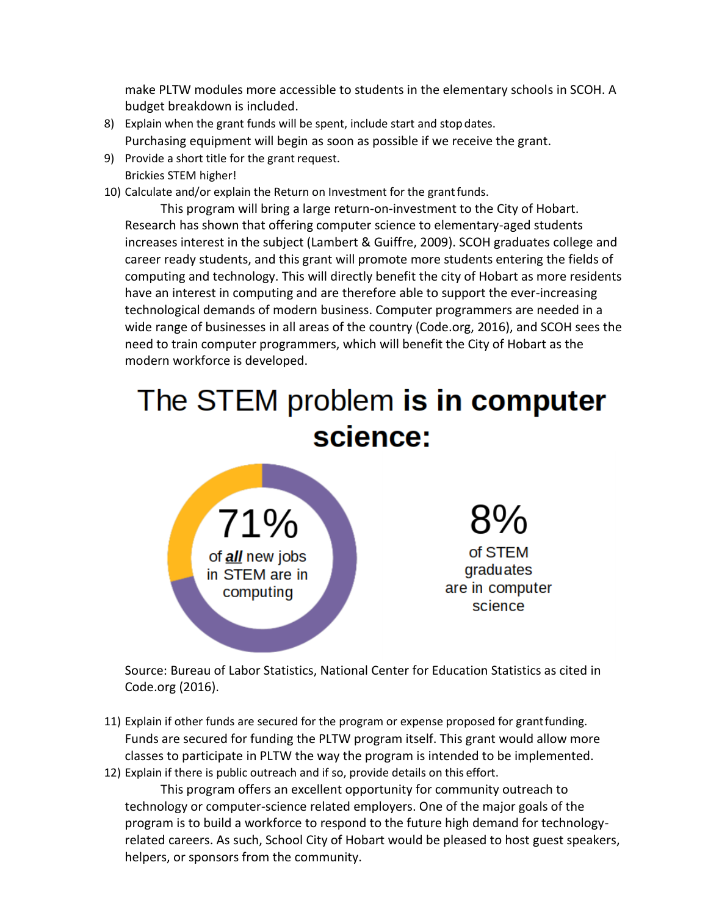make PLTW modules more accessible to students in the elementary schools in SCOH. A budget breakdown is included.

- 8) Explain when the grant funds will be spent, include start and stopdates. Purchasing equipment will begin as soon as possible if we receive the grant.
- 9) Provide a short title for the grant request. Brickies STEM higher!
- 10) Calculate and/or explain the Return on Investment for the grantfunds.

This program will bring a large return-on-investment to the City of Hobart. Research has shown that offering computer science to elementary-aged students increases interest in the subject (Lambert & Guiffre, 2009). SCOH graduates college and career ready students, and this grant will promote more students entering the fields of computing and technology. This will directly benefit the city of Hobart as more residents have an interest in computing and are therefore able to support the ever-increasing technological demands of modern business. Computer programmers are needed in a wide range of businesses in all areas of the country (Code.org, 2016), and SCOH sees the need to train computer programmers, which will benefit the City of Hobart as the modern workforce is developed.

# The STEM problem is in computer science:

71% of <u>all</u> new jobs in STEM are in computing

of STEM graduates are in computer science

Source: Bureau of Labor Statistics, National Center for Education Statistics as cited in Code.org (2016).

- 11) Explain if other funds are secured for the program or expense proposed for grantfunding. Funds are secured for funding the PLTW program itself. This grant would allow more classes to participate in PLTW the way the program is intended to be implemented.
- 12) Explain if there is public outreach and if so, provide details on this effort.

This program offers an excellent opportunity for community outreach to technology or computer-science related employers. One of the major goals of the program is to build a workforce to respond to the future high demand for technologyrelated careers. As such, School City of Hobart would be pleased to host guest speakers, helpers, or sponsors from the community.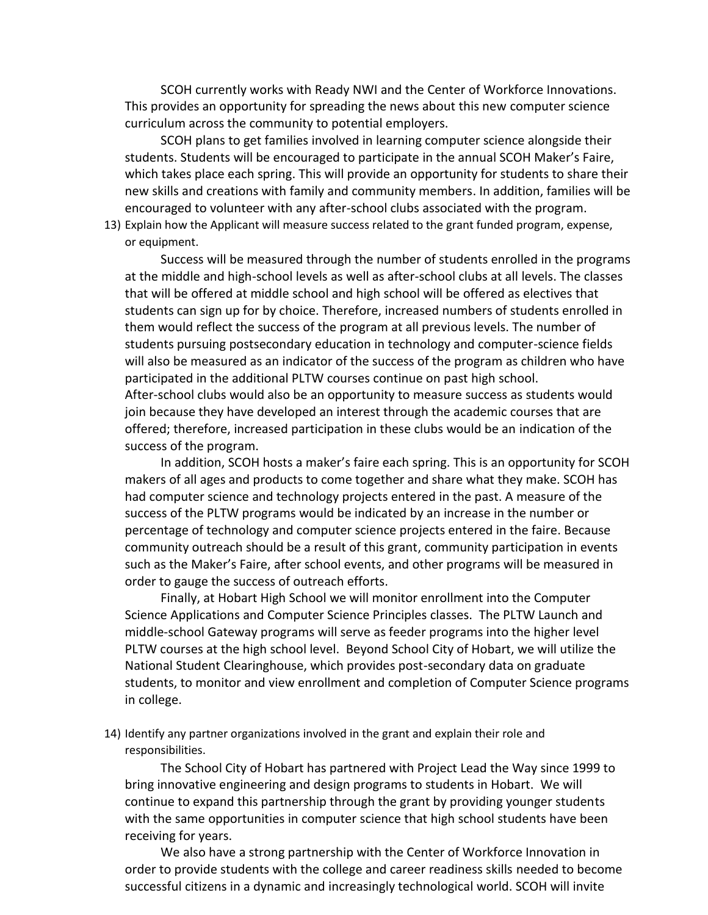SCOH currently works with Ready NWI and the Center of Workforce Innovations. This provides an opportunity for spreading the news about this new computer science curriculum across the community to potential employers.

SCOH plans to get families involved in learning computer science alongside their students. Students will be encouraged to participate in the annual SCOH Maker's Faire, which takes place each spring. This will provide an opportunity for students to share their new skills and creations with family and community members. In addition, families will be encouraged to volunteer with any after-school clubs associated with the program.

13) Explain how the Applicant will measure success related to the grant funded program, expense, or equipment.

Success will be measured through the number of students enrolled in the programs at the middle and high-school levels as well as after-school clubs at all levels. The classes that will be offered at middle school and high school will be offered as electives that students can sign up for by choice. Therefore, increased numbers of students enrolled in them would reflect the success of the program at all previous levels. The number of students pursuing postsecondary education in technology and computer-science fields will also be measured as an indicator of the success of the program as children who have participated in the additional PLTW courses continue on past high school. After-school clubs would also be an opportunity to measure success as students would join because they have developed an interest through the academic courses that are offered; therefore, increased participation in these clubs would be an indication of the success of the program.

In addition, SCOH hosts a maker's faire each spring. This is an opportunity for SCOH makers of all ages and products to come together and share what they make. SCOH has had computer science and technology projects entered in the past. A measure of the success of the PLTW programs would be indicated by an increase in the number or percentage of technology and computer science projects entered in the faire. Because community outreach should be a result of this grant, community participation in events such as the Maker's Faire, after school events, and other programs will be measured in order to gauge the success of outreach efforts.

Finally, at Hobart High School we will monitor enrollment into the Computer Science Applications and Computer Science Principles classes. The PLTW Launch and middle-school Gateway programs will serve as feeder programs into the higher level PLTW courses at the high school level. Beyond School City of Hobart, we will utilize the National Student Clearinghouse, which provides post-secondary data on graduate students, to monitor and view enrollment and completion of Computer Science programs in college.

14) Identify any partner organizations involved in the grant and explain their role and responsibilities.

The School City of Hobart has partnered with Project Lead the Way since 1999 to bring innovative engineering and design programs to students in Hobart. We will continue to expand this partnership through the grant by providing younger students with the same opportunities in computer science that high school students have been receiving for years.

We also have a strong partnership with the Center of Workforce Innovation in order to provide students with the college and career readiness skills needed to become successful citizens in a dynamic and increasingly technological world. SCOH will invite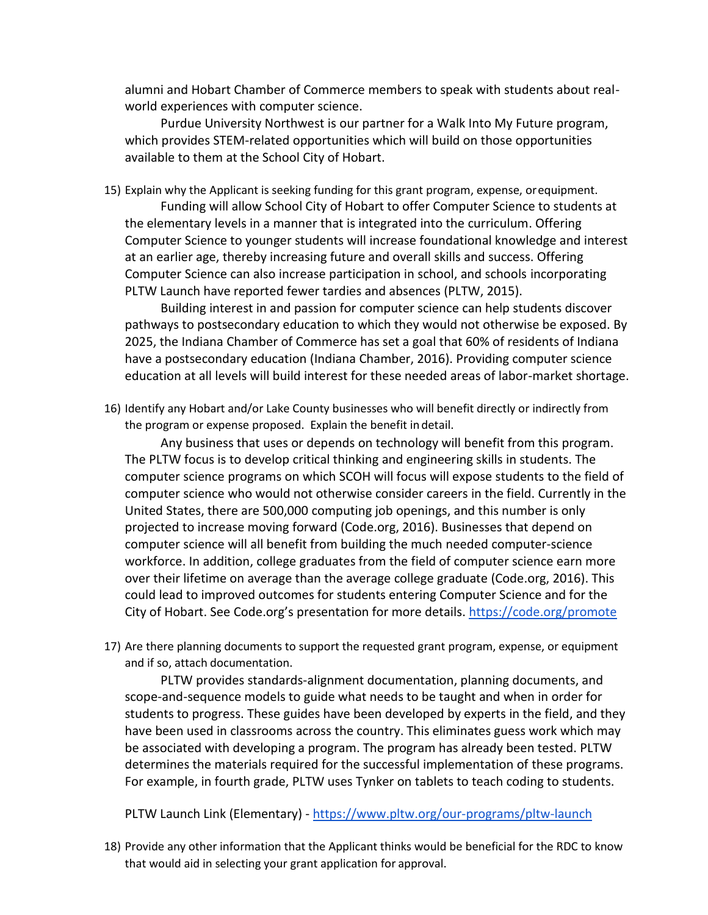alumni and Hobart Chamber of Commerce members to speak with students about realworld experiences with computer science.

Purdue University Northwest is our partner for a Walk Into My Future program, which provides STEM-related opportunities which will build on those opportunities available to them at the School City of Hobart.

15) Explain why the Applicant is seeking funding for this grant program, expense, orequipment.

Funding will allow School City of Hobart to offer Computer Science to students at the elementary levels in a manner that is integrated into the curriculum. Offering Computer Science to younger students will increase foundational knowledge and interest at an earlier age, thereby increasing future and overall skills and success. Offering Computer Science can also increase participation in school, and schools incorporating PLTW Launch have reported fewer tardies and absences (PLTW, 2015).

Building interest in and passion for computer science can help students discover pathways to postsecondary education to which they would not otherwise be exposed. By 2025, the Indiana Chamber of Commerce has set a goal that 60% of residents of Indiana have a postsecondary education (Indiana Chamber, 2016). Providing computer science education at all levels will build interest for these needed areas of labor-market shortage.

16) Identify any Hobart and/or Lake County businesses who will benefit directly or indirectly from the program or expense proposed. Explain the benefit indetail.

Any business that uses or depends on technology will benefit from this program. The PLTW focus is to develop critical thinking and engineering skills in students. The computer science programs on which SCOH will focus will expose students to the field of computer science who would not otherwise consider careers in the field. Currently in the United States, there are 500,000 computing job openings, and this number is only projected to increase moving forward (Code.org, 2016). Businesses that depend on computer science will all benefit from building the much needed computer-science workforce. In addition, college graduates from the field of computer science earn more over their lifetime on average than the average college graduate (Code.org, 2016). This could lead to improved outcomes for students entering Computer Science and for the City of Hobart. See Code.org's presentation for more details. <https://code.org/promote>

17) Are there planning documents to support the requested grant program, expense, or equipment and if so, attach documentation.

PLTW provides standards-alignment documentation, planning documents, and scope-and-sequence models to guide what needs to be taught and when in order for students to progress. These guides have been developed by experts in the field, and they have been used in classrooms across the country. This eliminates guess work which may be associated with developing a program. The program has already been tested. PLTW determines the materials required for the successful implementation of these programs. For example, in fourth grade, PLTW uses Tynker on tablets to teach coding to students.

PLTW Launch Link (Elementary) - <https://www.pltw.org/our-programs/pltw-launch>

18) Provide any other information that the Applicant thinks would be beneficial for the RDC to know that would aid in selecting your grant application for approval.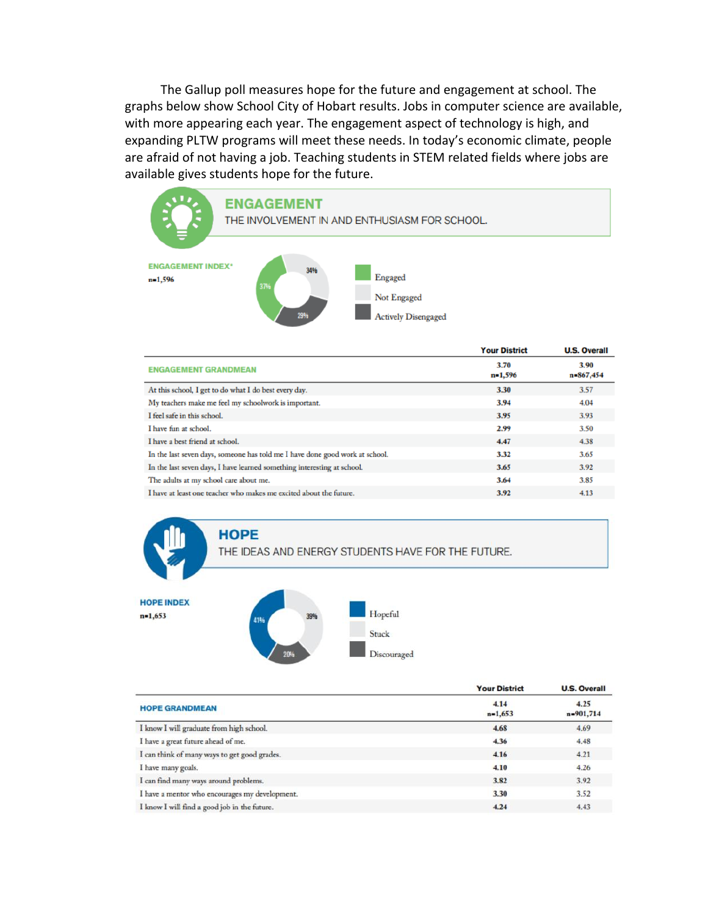The Gallup poll measures hope for the future and engagement at school. The graphs below show School City of Hobart results. Jobs in computer science are available, with more appearing each year. The engagement aspect of technology is high, and expanding PLTW programs will meet these needs. In today's economic climate, people are afraid of not having a job. Teaching students in STEM related fields where jobs are available gives students hope for the future.



|                                                                              | <b>Your District</b> | <b>U.S. Overall</b> |
|------------------------------------------------------------------------------|----------------------|---------------------|
| <b>ENGAGEMENT GRANDMEAN</b>                                                  | 3.70<br>$n=1,596$    | 3.90<br>n=867,454   |
| At this school, I get to do what I do best every day.                        | 3.30                 | 3.57                |
| My teachers make me feel my schoolwork is important.                         | 3.94                 | 4.04                |
| I feel safe in this school.                                                  | 3.95                 | 3.93                |
| I have fun at school.                                                        | 2.99                 | 3.50                |
| I have a best friend at school.                                              | 4.47                 | 4.38                |
| In the last seven days, someone has told me I have done good work at school. | 3.32                 | 3.65                |
| In the last seven days, I have learned something interesting at school.      | 3.65                 | 3.92                |
| The adults at my school care about me.                                       | 3.64                 | 3.85                |
| I have at least one teacher who makes me excited about the future.           | 3.92                 | 4.13                |

THE IDEAS AND ENERGY STUDENTS HAVE FOR THE FUTURE.



**HOPE** 

|                                                | <b>Your District</b> | <b>U.S. Overall</b> |
|------------------------------------------------|----------------------|---------------------|
| <b>HOPE GRANDMEAN</b>                          | 4.14<br>$n=1,653$    | 4.25<br>n=901,714   |
| I know I will graduate from high school.       | 4.68                 | 4.69                |
| I have a great future ahead of me.             | 4.36                 | 4.48                |
| I can think of many ways to get good grades.   | 4.16                 | 4.21                |
| I have many goals.                             | 4.10                 | 4.26                |
| I can find many ways around problems.          | 3.82                 | 3.92                |
| I have a mentor who encourages my development. | 3.30                 | 3.52                |
| I know I will find a good job in the future.   | 4.24                 | 4.43                |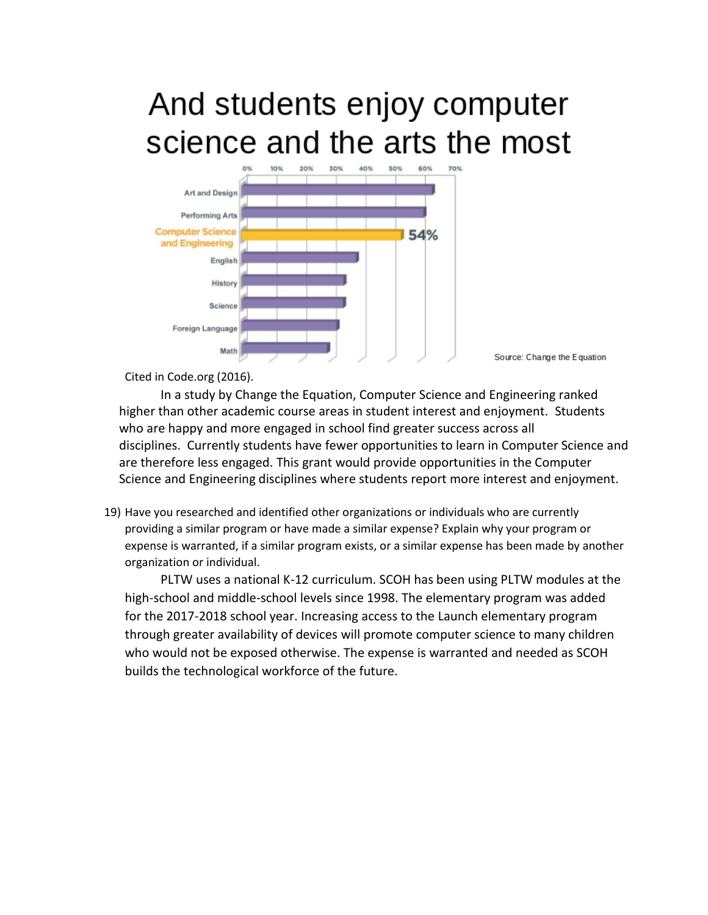# And students enjoy computer science and the arts the most



Source: Change the Equation

Cited in Code.org (2016).

In a study by Change the Equation, Computer Science and Engineering ranked higher than other academic course areas in student interest and enjoyment. Students who are happy and more engaged in school find greater success across all disciplines. Currently students have fewer opportunities to learn in Computer Science and are therefore less engaged. This grant would provide opportunities in the Computer Science and Engineering disciplines where students report more interest and enjoyment.

19) Have you researched and identified other organizations or individuals who are currently providing a similar program or have made a similar expense? Explain why your program or expense is warranted, if a similar program exists, or a similar expense has been made by another organization or individual.

PLTW uses a national K-12 curriculum. SCOH has been using PLTW modules at the high-school and middle-school levels since 1998. The elementary program was added for the 2017-2018 school year. Increasing access to the Launch elementary program through greater availability of devices will promote computer science to many children who would not be exposed otherwise. The expense is warranted and needed as SCOH builds the technological workforce of the future.